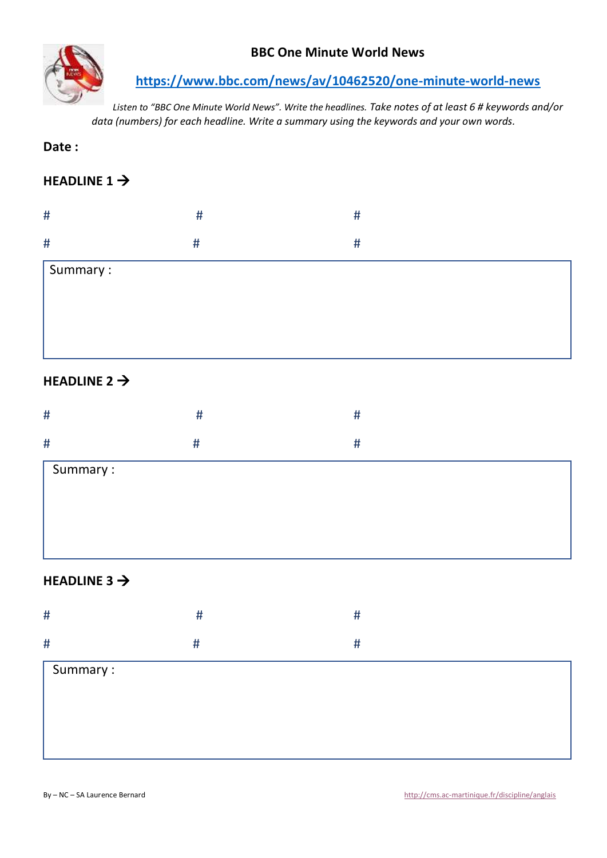

## **BBC One Minute World News**

**<https://www.bbc.com/news/av/10462520/one-minute-world-news>**

*Listen to "BBC One Minute World News". Write the headlines. Take notes of at least 6 # keywords and/or data (numbers) for each headline. Write a summary using the keywords and your own words.*

**Date :** 

# **HEADLINE 1 →**

| #                 |   |  |
|-------------------|---|--|
| #                 | π |  |
| $\vert$ Summary : |   |  |
|                   |   |  |

## **HEADLINE 2** →

| #        | # | # |  |
|----------|---|---|--|
| #        | # | # |  |
| Summary: |   |   |  |
|          |   |   |  |
|          |   |   |  |
|          |   |   |  |

## **HEADLINE 3** →

| $\#$     | #    | #    |
|----------|------|------|
| $\#$     | $\#$ | $\#$ |
| Summary: |      |      |